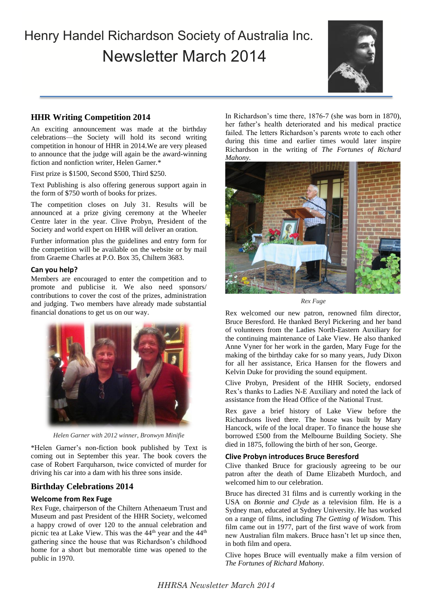# Henry Handel Richardson Society of Australia Inc. Newsletter March 2014



## **HHR Writing Competition 2014**

An exciting announcement was made at the birthday celebrations—the Society will hold its second writing competition in honour of HHR in 2014.We are very pleased to announce that the judge will again be the award-winning fiction and nonfiction writer, Helen Garner.\*

First prize is \$1500, Second \$500, Third \$250.

Text Publishing is also offering generous support again in the form of \$750 worth of books for prizes.

The competition closes on July 31. Results will be announced at a prize giving ceremony at the Wheeler Centre later in the year. Clive Probyn, President of the Society and world expert on HHR will deliver an oration.

Further information plus the guidelines and entry form for the competition will be available on the website or by mail from Graeme Charles at P.O. Box 35, Chiltern 3683.

## **Can you help?**

Members are encouraged to enter the competition and to promote and publicise it. We also need sponsors/ contributions to cover the cost of the prizes, administration and judging. Two members have already made substantial financial donations to get us on our way.



*Helen Garner with 2012 winner, Bronwyn Minifie*

\*Helen Garner's non-fiction book published by Text is coming out in September this year. The book covers the case of Robert Farquharson, twice convicted of murder for driving his car into a dam with his three sons inside.

## **Birthday Celebrations 2014**

## **Welcome from Rex Fuge**

Rex Fuge, chairperson of the Chiltern Athenaeum Trust and Museum and past President of the HHR Society, welcomed a happy crowd of over 120 to the annual celebration and picnic tea at Lake View. This was the 44<sup>th</sup> year and the 44<sup>th</sup> gathering since the house that was Richardson's childhood home for a short but memorable time was opened to the public in 1970.

In Richardson's time there, 1876-7 (she was born in 1870), her father's health deteriorated and his medical practice failed. The letters Richardson's parents wrote to each other during this time and earlier times would later inspire Richardson in the writing of *The Fortunes of Richard Mahony.*



*Rex Fuge*

Rex welcomed our new patron, renowned film director, Bruce Beresford. He thanked Beryl Pickering and her band of volunteers from the Ladies North-Eastern Auxiliary for the continuing maintenance of Lake View. He also thanked Anne Vyner for her work in the garden, Mary Fuge for the making of the birthday cake for so many years, Judy Dixon for all her assistance, Erica Hansen for the flowers and Kelvin Duke for providing the sound equipment.

Clive Probyn, President of the HHR Society, endorsed Rex's thanks to Ladies N-E Auxiliary and noted the lack of assistance from the Head Office of the National Trust.

Rex gave a brief history of Lake View before the Richardsons lived there. The house was built by Mary Hancock, wife of the local draper. To finance the house she borrowed £500 from the Melbourne Building Society. She died in 1875, following the birth of her son, George.

## **Clive Probyn introduces Bruce Beresford**

Clive thanked Bruce for graciously agreeing to be our patron after the death of Dame Elizabeth Murdoch, and welcomed him to our celebration.

Bruce has directed 31 films and is currently working in the USA on *Bonnie and Clyde* as a television film. He is a Sydney man, educated at Sydney University. He has worked on a range of films, including *The Getting of Wisdom.* This film came out in 1977, part of the first wave of work from new Australian film makers. Bruce hasn't let up since then, in both film and opera.

Clive hopes Bruce will eventually make a film version of *The Fortunes of Richard Mahony.*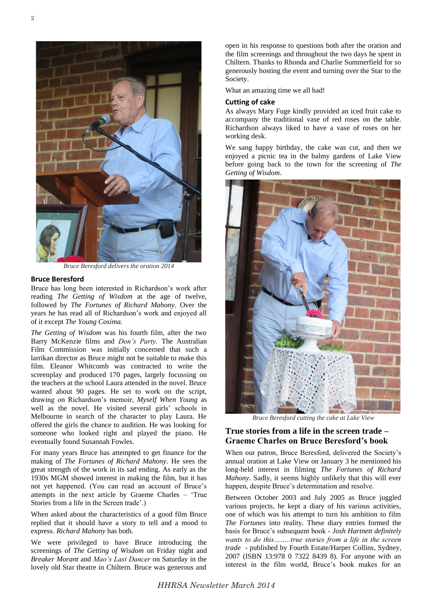

*Bruce Beresford delivers the oration 2014*

#### **Bruce Beresford**

Bruce has long been interested in Richardson's work after reading *The Getting of Wisdom* at the age of twelve, followed by *The Fortunes of Richard Mahony*. Over the years he has read all of Richardson's work and enjoyed all of it except *The Young Cosima.*

*The Getting of Wisdom* was his fourth film, after the two Barry McKenzie films and *Don's Party.* The Australian Film Commission was initially concerned that such a larrikan director as Bruce might not be suitable to make this film. Eleanor Whitcomb was contracted to write the screenplay and produced 170 pages, largely focussing on the teachers at the school Laura attended in the novel. Bruce wanted about 90 pages. He set to work on the script, drawing on Richardson's memoir, *Myself When Young* as well as the novel. He visited several girls' schools in Melbourne in search of the character to play Laura. He offered the girls the chance to audition. He was looking for someone who looked right and played the piano. He eventually found Susannah Fowles.

For many years Bruce has attempted to get finance for the making of *The Fortunes of Richard Mahony.* He sees the great strength of the work in its sad ending. As early as the 1930s MGM showed interest in making the film, but it has not yet happened. (You can read an account of Bruce's attempts in the next article by Graeme Charles – 'True Stories from a life in the Screen trade'.)

When asked about the characteristics of a good film Bruce replied that it should have a story to tell and a mood to express. *Richard Mahony* has both.

We were privileged to have Bruce introducing the screenings of *The Getting of Wisdom* on Friday night and *Breaker Morant* and *Mao's Last Dancer* on Saturday in the lovely old Star theatre in Chiltern. Bruce was generous and

open in his response to questions both after the oration and the film screenings and throughout the two days he spent in Chiltern. Thanks to Rhonda and Charlie Summerfield for so generously hosting the event and turning over the Star to the Society.

What an amazing time we all had!

#### **Cutting of cake**

As always Mary Fuge kindly provided an iced fruit cake to accompany the traditional vase of red roses on the table. Richardson always liked to have a vase of roses on her working desk.

We sang happy birthday, the cake was cut, and then we enjoyed a picnic tea in the balmy gardens of Lake View before going back to the town for the screening of *The Getting of Wisdom*.



*Bruce Beresford cutting the cake at Lake View*

## **True stories from a life in the screen trade – Graeme Charles on Bruce Beresford's book**

When our patron, Bruce Beresford, delivered the Society's annual oration at Lake View on January 3 he mentioned his long-held interest in filming *The Fortunes of Richard Mahony*. Sadly, it seems highly unlikely that this will ever happen, despite Bruce's determination and resolve.

Between October 2003 and July 2005 as Bruce juggled various projects, he kept a diary of his various activities, one of which was his attempt to turn his ambition to film *The Fortunes* into reality. These diary entries formed the basis for Bruce's subsequent book - *Josh Hartnett definitely wants to do this……..true stories from a life in the screen trade* - published by Fourth Estate/Harper Collins, Sydney, 2007 (ISBN 13:978 0 7322 8439 8). For anyone with an interest in the film world, Bruce's book makes for an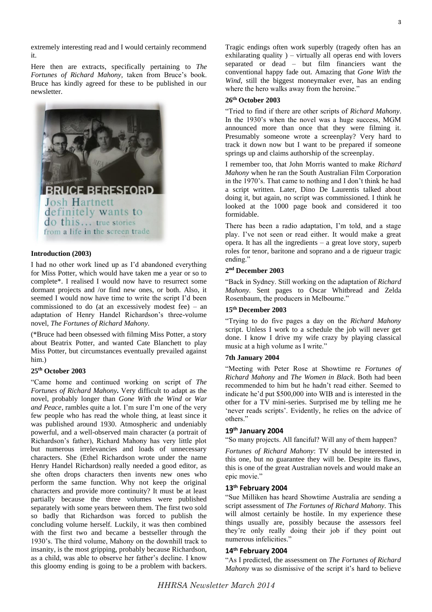extremely interesting read and I would certainly recommend it.

Here then are extracts, specifically pertaining to *The Fortunes of Richard Mahony,* taken from Bruce's book. Bruce has kindly agreed for these to be published in our newsletter.



## **Introduction (2003)**

I had no other work lined up as I'd abandoned everything for Miss Potter, which would have taken me a year or so to complete\*. I realised I would now have to resurrect some dormant projects and /or find new ones, or both. Also, it seemed I would now have time to write the script I'd been commissioned to do (at an excessively modest fee) – an adaptation of Henry Handel Richardson's three-volume novel, *The Fortunes of Richard Mahony.*

(\*Bruce had been obsessed with filming Miss Potter, a story about Beatrix Potter, and wanted Cate Blanchett to play Miss Potter, but circumstances eventually prevailed against him.)

## **25th October 2003**

"Came home and continued working on script of *The Fortunes of Richard Mahony.* Very difficult to adapt as the novel, probably longer than *Gone With the Wind* or *War and Peace*, rambles quite a lot. I'm sure I'm one of the very few people who has read the whole thing, at least since it was published around 1930. Atmospheric and undeniably powerful, and a well-observed main character (a portrait of Richardson's father), Richard Mahony has very little plot but numerous irrelevancies and loads of unnecessary characters. She (Ethel Richardson wrote under the name Henry Handel Richardson) really needed a good editor, as she often drops characters then invents new ones who perform the same function. Why not keep the original characters and provide more continuity? It must be at least partially because the three volumes were published separately with some years between them. The first two sold so badly that Richardson was forced to publish the concluding volume herself. Luckily, it was then combined with the first two and became a bestseller through the 1930's. The third volume, Mahony on the downhill track to insanity, is the most gripping, probably because Richardson, as a child, was able to observe her father's decline. I know this gloomy ending is going to be a problem with backers.

#### **26th October 2003**

"Tried to find if there are other scripts of *Richard Mahony*. In the 1930's when the novel was a huge success, MGM announced more than once that they were filming it. Presumably someone wrote a screenplay? Very hard to track it down now but I want to be prepared if someone springs up and claims authorship of the screenplay.

*Wind*, still the biggest moneymaker ever, has an ending

where the hero walks away from the heroine."

I remember too, that John Morris wanted to make *Richard Mahony* when he ran the South Australian Film Corporation in the 1970's. That came to nothing and I don't think he had a script written. Later, Dino De Laurentis talked about doing it, but again, no script was commissioned. I think he looked at the 1000 page book and considered it too formidable.

There has been a radio adaptation, I'm told, and a stage play. I've not seen or read either. It would make a great opera. It has all the ingredients – a great love story, superb roles for tenor, baritone and soprano and a de rigueur tragic ending."

#### **2 nd December 2003**

"Back in Sydney. Still working on the adaptation of *Richard Mahony.* Sent pages to Oscar Whitbread and Zelda Rosenbaum, the producers in Melbourne."

#### **15th December 2003**

"Trying to do five pages a day on the *Richard Mahony* script. Unless I work to a schedule the job will never get done. I know I drive my wife crazy by playing classical music at a high volume as I write."

## **7th January 2004**

"Meeting with Peter Rose at Showtime re *Fortunes of Richard Mahony* and *The Women in Black*. Both had been recommended to him but he hadn't read either. Seemed to indicate he'd put \$500,000 into WIB and is interested in the other for a TV mini-series. Surprised me by telling me he 'never reads scripts'. Evidently, he relies on the advice of others."

## **19th January 2004**

"So many projects. All fanciful? Will any of them happen?

*Fortunes of Richard Mahony*: TV should be interested in this one, but no guarantee they will be. Despite its flaws, this is one of the great Australian novels and would make an epic movie."

## **13th February 2004**

"Sue Milliken has heard Showtime Australia are sending a script assessment of *The Fortunes of Richard Mahony.* This will almost certainly be hostile. In my experience these things usually are, possibly because the assessors feel they're only really doing their job if they point out numerous infelicities."

#### **14th February 2004**

"As I predicted, the assessment on *The Fortunes of Richard Mahony* was so dismissive of the script it's hard to believe